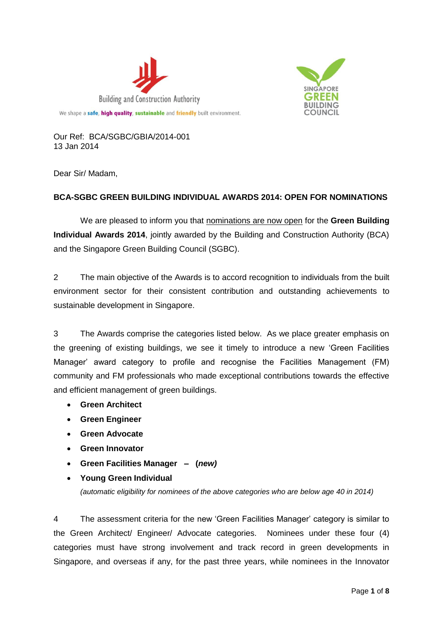



Our Ref: BCA/SGBC/GBIA/2014-001 13 Jan 2014

Dear Sir/ Madam,

## **BCA-SGBC GREEN BUILDING INDIVIDUAL AWARDS 2014: OPEN FOR NOMINATIONS**

We are pleased to inform you that nominations are now open for the **Green Building Individual Awards 2014**, jointly awarded by the Building and Construction Authority (BCA) and the Singapore Green Building Council (SGBC).

2 The main objective of the Awards is to accord recognition to individuals from the built environment sector for their consistent contribution and outstanding achievements to sustainable development in Singapore.

3 The Awards comprise the categories listed below. As we place greater emphasis on the greening of existing buildings, we see it timely to introduce a new 'Green Facilities Manager' award category to profile and recognise the Facilities Management (FM) community and FM professionals who made exceptional contributions towards the effective and efficient management of green buildings.

- **Green Architect**
- **Green Engineer**
- **Green Advocate**
- **Green Innovator**
- **Green Facilities Manager (***new)*
- **Young Green Individual**

*(automatic eligibility for nominees of the above categories who are below age 40 in 2014)*

4 The assessment criteria for the new 'Green Facilities Manager' category is similar to the Green Architect/ Engineer/ Advocate categories. Nominees under these four (4) categories must have strong involvement and track record in green developments in Singapore, and overseas if any, for the past three years, while nominees in the Innovator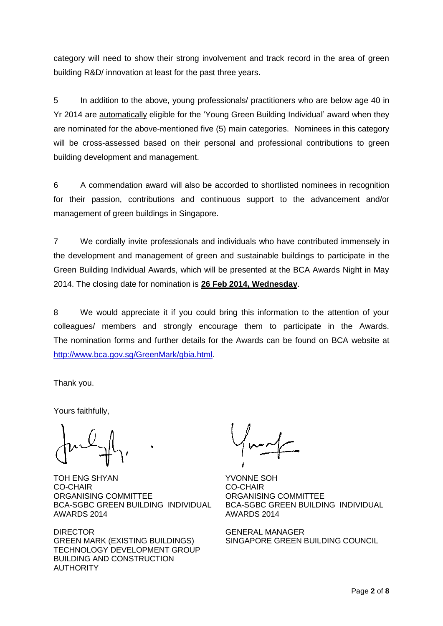category will need to show their strong involvement and track record in the area of green building R&D/ innovation at least for the past three years.

5 In addition to the above, young professionals/ practitioners who are below age 40 in Yr 2014 are automatically eligible for the 'Young Green Building Individual' award when they are nominated for the above-mentioned five (5) main categories. Nominees in this category will be cross-assessed based on their personal and professional contributions to green building development and management.

6 A commendation award will also be accorded to shortlisted nominees in recognition for their passion, contributions and continuous support to the advancement and/or management of green buildings in Singapore.

7 We cordially invite professionals and individuals who have contributed immensely in the development and management of green and sustainable buildings to participate in the Green Building Individual Awards, which will be presented at the BCA Awards Night in May 2014. The closing date for nomination is **26 Feb 2014, Wednesday**.

8 We would appreciate it if you could bring this information to the attention of your colleagues/ members and strongly encourage them to participate in the Awards. The nomination forms and further details for the Awards can be found on BCA website at [http://www.bca.gov.sg/GreenMark/gbia.html.](http://www.bca.gov.sg/GreenMark/gbia.html)

Thank you.

Yours faithfully,

TOH ENG SHYAN YVONNE SOH CO-CHAIR CO-CHAIR ORGANISING COMMITTEE ORGANISING COMMITTEE BCA-SGBC GREEN BUILDING INDIVIDUAL AWARDS 2014

DIRECTOR GREEN MARK (EXISTING BUILDINGS) TECHNOLOGY DEVELOPMENT GROUP BUILDING AND CONSTRUCTION AUTHORITY

BCA-SGBC GREEN BUILDING INDIVIDUAL AWARDS 2014

GENERAL MANAGER SINGAPORE GREEN BUILDING COUNCIL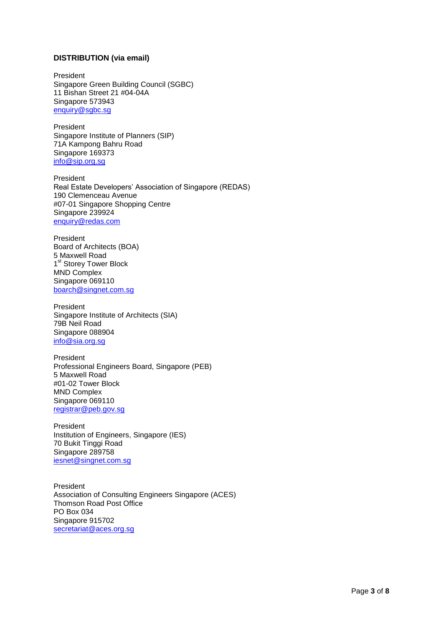## **DISTRIBUTION (via email)**

President Singapore Green Building Council (SGBC) 11 Bishan Street 21 #04-04A Singapore 573943 [enquiry@sgbc.sg](mailto:enquiry@sgbc.sg)

President Singapore Institute of Planners (SIP) 71A Kampong Bahru Road Singapore 169373 [info@sip.org.sg](mailto:info@sip.org.sg)

President Real Estate Developers' Association of Singapore (REDAS) 190 Clemenceau Avenue #07-01 Singapore Shopping Centre Singapore 239924 [enquiry@redas.com](mailto:enquiry@redas.com)

President Board of Architects (BOA) 5 Maxwell Road 1st Storey Tower Block MND Complex Singapore 069110 [boarch@singnet.com.sg](mailto:boarch@singnet.com.sg)

President Singapore Institute of Architects (SIA) 79B Neil Road Singapore 088904 [info@sia.org.sg](mailto:info@sia.org.sg)

President Professional Engineers Board, Singapore (PEB) 5 Maxwell Road #01-02 Tower Block MND Complex Singapore 069110 [registrar@peb.gov.sg](mailto:registrar@peb.gov.sg)

President Institution of Engineers, Singapore (IES) 70 Bukit Tinggi Road Singapore 289758 [iesnet@singnet.com.sg](mailto:iesnet@singnet.com.sg)

President Association of Consulting Engineers Singapore (ACES) Thomson Road Post Office PO Box 034 Singapore 915702 [secretariat@aces.org.sg](mailto:secretariat@aces.org.sg)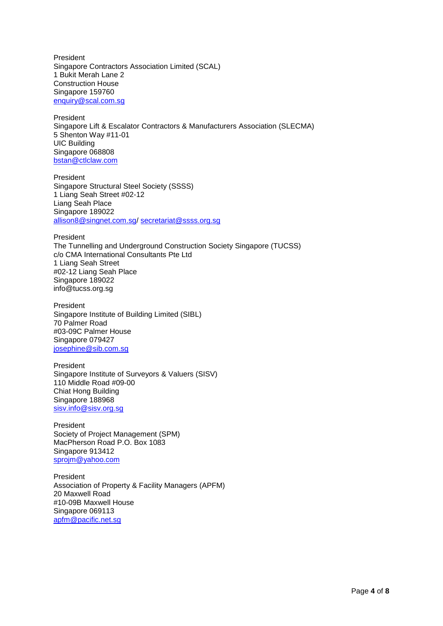President Singapore Contractors Association Limited (SCAL) 1 Bukit Merah Lane 2 Construction House Singapore 159760 [enquiry@scal.com.sg](mailto:enquiry@scal.com.sg)

President Singapore Lift & Escalator Contractors & Manufacturers Association (SLECMA) 5 Shenton Way #11-01 UIC Building Singapore 068808 [bstan@ctlclaw.com](mailto:bstan@ctlclaw.com)

President Singapore Structural Steel Society (SSSS) 1 Liang Seah Street #02-12 Liang Seah Place Singapore 189022 [allison8@singnet.com.sg/](mailto:allison8@singnet.com.sg) [secretariat@ssss.org.sg](mailto:secretariat@ssss.org.sg) 

President The Tunnelling and Underground Construction Society Singapore (TUCSS) c/o CMA International Consultants Pte Ltd 1 Liang Seah Street #02-12 Liang Seah Place Singapore 189022 info@tucss.org.sg

President Singapore Institute of Building Limited (SIBL) 70 Palmer Road #03-09C Palmer House Singapore 079427 [josephine@sib.com.sg](mailto:josephine@sib.com.sg)

President Singapore Institute of Surveyors & Valuers (SISV) 110 Middle Road #09-00 Chiat Hong Building Singapore 188968 [sisv.info@sisv.org.sg](mailto:sisv.info@sisv.org.sg)

President Society of Project Management (SPM) MacPherson Road P.O. Box 1083 Singapore 913412 [sprojm@yahoo.com](mailto:sprojm@yahoo.com)

President Association of Property & Facility Managers (APFM) 20 Maxwell Road #10-09B Maxwell House Singapore 069113 [apfm@pacific.net.sg](mailto:apfm@pacific.net.sg)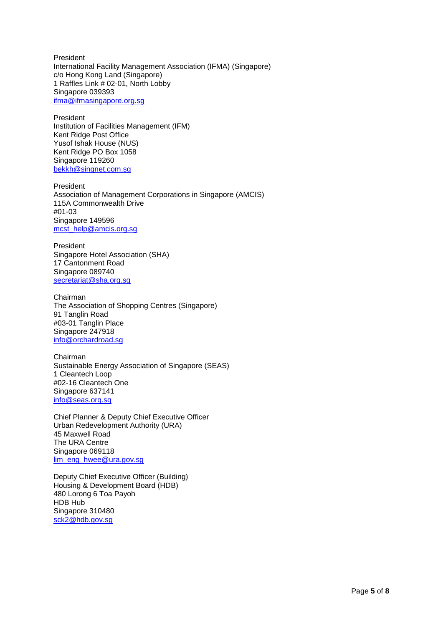President International Facility Management Association (IFMA) (Singapore) c/o Hong Kong Land (Singapore) 1 Raffles Link # 02-01, North Lobby Singapore 039393 [ifma@ifmasingapore.org.sg](mailto:ifma@ifmasingapore.org.sg)

President Institution of Facilities Management (IFM) Kent Ridge Post Office Yusof Ishak House (NUS) Kent Ridge PO Box 1058 Singapore 119260 [bekkh@singnet.com.sg](mailto:bekkh@singnet.com.sg)

President Association of Management Corporations in Singapore (AMCIS) 115A Commonwealth Drive #01-03 Singapore 149596 [mcst\\_help@amcis.org.sg](mailto:mcst_help@amcis.org.sg)

President Singapore Hotel Association (SHA) 17 Cantonment Road Singapore 089740 [secretariat@sha.org.sg](mailto:secretariat@sha.org.sg)

Chairman The Association of Shopping Centres (Singapore) 91 Tanglin Road #03-01 Tanglin Place Singapore 247918 [info@orchardroad.sg](mailto:info@orchardroad.sg)

Chairman Sustainable Energy Association of Singapore (SEAS) 1 Cleantech Loop #02-16 Cleantech One Singapore 637141 [info@seas.org.sg](mailto:info@seas.org.sg)

Chief Planner & Deputy Chief Executive Officer Urban Redevelopment Authority (URA) 45 Maxwell Road The URA Centre Singapore 069118 [lim\\_eng\\_hwee@ura.gov.sg](mailto:lim_eng_hwee@ura.gov.sg)

Deputy Chief Executive Officer (Building) Housing & Development Board (HDB) 480 Lorong 6 Toa Payoh HDB Hub Singapore 310480 [sck2@hdb.gov.sg](mailto:sck2@hdb.gov.sg)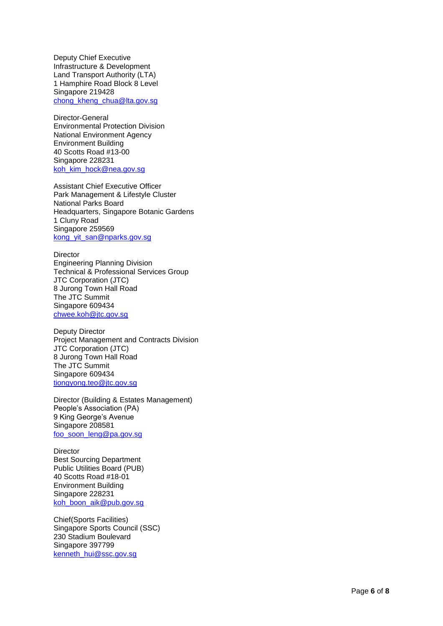Deputy Chief Executive Infrastructure & Development Land Transport Authority (LTA) 1 Hamphire Road Block 8 Level Singapore 219428 [chong\\_kheng\\_chua@lta.gov.sg](mailto:chong_kheng_chua@lta.gov.sg)

Director -General Environmental Protection Division National Environment Agency Environment Building 40 Scotts Road #13 -00 Singapore 228231 koh kim hock@nea.gov.sg

Assistant Chief Executive Officer Park Management & Lifestyle Cluster National Parks Board Headquarters, Singapore Botanic Gardens 1 Cluny Road Singapore 259569 [kong\\_yit\\_san@nparks.gov.sg](mailto:kong_yit_san@nparks.gov.sg)

**Director** Engineering Planning Division Technical & Professional Services Group JTC Corporation (JTC) 8 Jurong Town Hall Road The JTC Summit Singapore 609434 [chwee.koh@jtc.gov.sg](mailto:chwee.koh@jtc.gov.sg)

Deputy Director Project Management and Contracts Division JTC Corporation (JTC) 8 Jurong Town Hall Road The JTC Summit Singapore 609434 [tiongyong.teo@jtc.gov.sg](mailto:tiongyong.teo@jtc.gov.sg)

Director (Building & Estates Management) People's Association (PA) 9 King George's Avenue Singapore 208581 [foo\\_soon\\_leng@pa.gov.sg](mailto:foo_soon_leng@pa.gov.sg)

**Director** Best Sourcing Department Public Utilities Board (PUB) 40 Scotts Road #18 -01 Environment Building Singapore 228231 [koh\\_boon\\_aik@pub.gov.sg](mailto:koh_boon_aik@pub.gov.sg)

Chief(Sports Facilities) Singapore Sports Council (SSC) 230 Stadium Boulevard Singapore 397799 [kenneth\\_hui@ssc.gov.sg](mailto:kenneth_hui@ssc.gov.sg)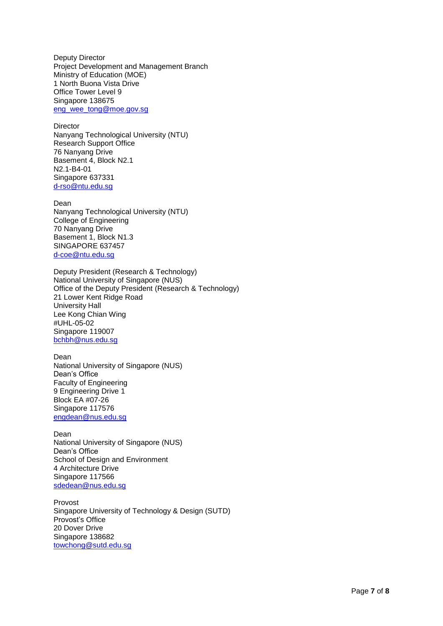Deputy Director Project Development and Management Branch Ministry of Education (MOE) 1 North Buona Vista Drive Office Tower Level 9 Singapore 138675 [eng\\_wee\\_tong@moe.gov.sg](mailto:eng_wee_tong@moe.gov.sg)

**Director** Nanyang Technological University (NTU) Research Support Office 76 Nanyang Drive<br>Basement 4, Block N2.1 N2.1 -B4 -01 Singapore 637331 [d-rso@ntu.edu.sg](mailto:d-rso@ntu.edu.sg)

Dean Nanyang Technological University (NTU) College of Engineering<br>70 Nanvang Drive Basement 1, Block N1.3 SINGAPORE 637457 [d-coe@ntu.edu.sg](mailto:d-coe@ntu.edu.sg)

Deputy President (Research & Technology ) National University of Singapore (NUS) Office of the Deputy President (Research & Technology ) 21 Lower Kent Ridge Road University Hall Lee Kong Chian Wing #UHL -05 -02 Singapore 119007 [bchbh@nus.edu.sg](mailto:bchbh@nus.edu.sg)

Dean National University of Singapore (NUS) Dean's Office Faculty of Engineering 9 Engineering Drive 1 Block EA #07 -26 Singapore 117576 [engdean@nus.edu.sg](mailto:engdean@nus.edu.sg)

Dean National University of Singapore (NUS) Dean's Office School of Design and Environment 4 Architecture Drive Singapore 117566 [sdedean@nus.edu.sg](mailto:sdedean@nus.edu.sg)

Provost Singapore University of Technology & Design (SUTD) Provost's Office 20 Dover Drive Singapore 138682 [towchong@sutd.edu.sg](mailto:towchong@sutd.edu.sg)